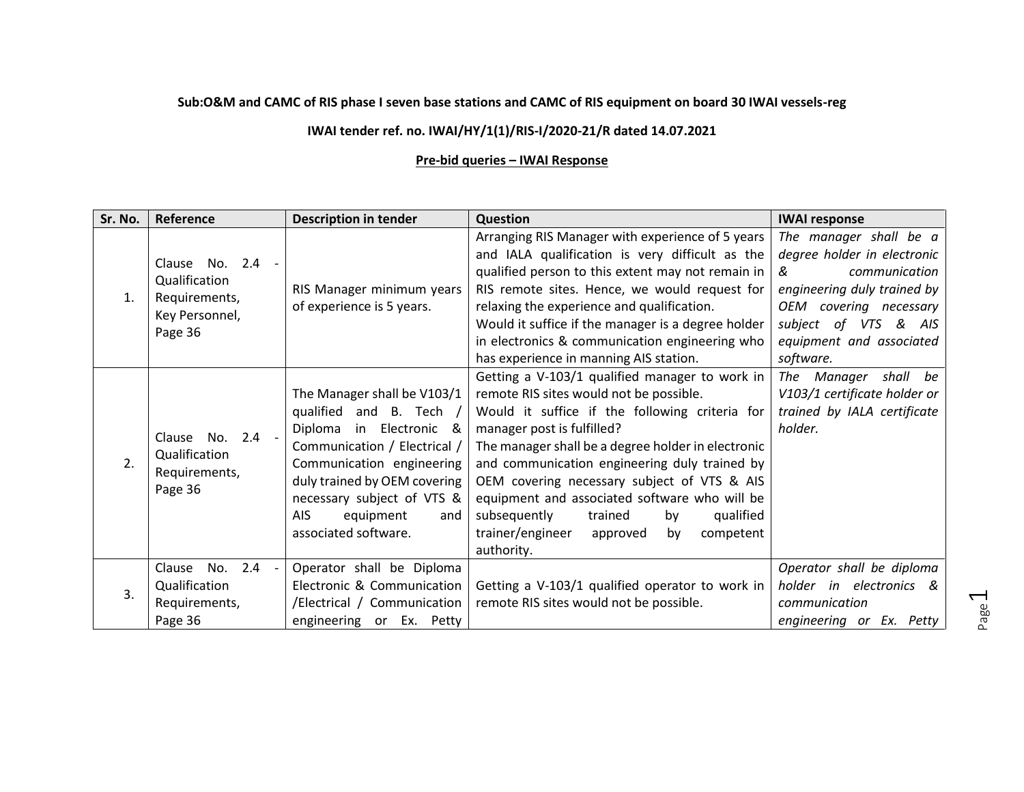## **Sub:O&M and CAMC of RIS phase I seven base stations and CAMC of RIS equipment on board 30 IWAI vessels-reg**

## **IWAI tender ref. no. IWAI/HY/1(1)/RIS-I/2020-21/R dated 14.07.2021**

## **Pre-bid queries – IWAI Response**

| Sr. No. | Reference                                                     | <b>Description in tender</b> | <b>Question</b>                                    | <b>IWAI response</b>           |
|---------|---------------------------------------------------------------|------------------------------|----------------------------------------------------|--------------------------------|
| 1.      | Clause No. 2.4<br>Qualification<br>Requirements,              |                              | Arranging RIS Manager with experience of 5 years   | The manager shall be a         |
|         |                                                               |                              | and IALA qualification is very difficult as the    | degree holder in electronic    |
|         |                                                               |                              | qualified person to this extent may not remain in  | communication<br>$\mathcal{R}$ |
|         |                                                               | RIS Manager minimum years    | RIS remote sites. Hence, we would request for      | engineering duly trained by    |
|         | Key Personnel,                                                | of experience is 5 years.    | relaxing the experience and qualification.         | OEM covering necessary         |
|         | Page 36                                                       |                              | Would it suffice if the manager is a degree holder | subject of VTS<br>& AIS        |
|         |                                                               |                              | in electronics & communication engineering who     | equipment and associated       |
|         |                                                               |                              | has experience in manning AIS station.             | software.                      |
|         |                                                               |                              | Getting a V-103/1 qualified manager to work in     | The Manager shall be           |
|         |                                                               | The Manager shall be V103/1  | remote RIS sites would not be possible.            | V103/1 certificate holder or   |
|         | Clause No. 2.4 -<br>Qualification<br>Requirements,<br>Page 36 | qualified and B. Tech /      | Would it suffice if the following criteria for     | trained by IALA certificate    |
|         |                                                               | Diploma in Electronic &      | manager post is fulfilled?                         | holder.                        |
|         |                                                               | Communication / Electrical / | The manager shall be a degree holder in electronic |                                |
| 2.      |                                                               | Communication engineering    | and communication engineering duly trained by      |                                |
|         |                                                               | duly trained by OEM covering | OEM covering necessary subject of VTS & AIS        |                                |
|         |                                                               | necessary subject of VTS &   | equipment and associated software who will be      |                                |
|         |                                                               | AIS.<br>equipment<br>and     | subsequently<br>qualified<br>trained<br>by         |                                |
|         |                                                               | associated software.         | trainer/engineer<br>competent<br>by<br>approved    |                                |
|         |                                                               |                              | authority.                                         |                                |
|         | $2.4 -$<br>Clause<br>No.                                      | Operator shall be Diploma    |                                                    | Operator shall be diploma      |
| 3.      | Qualification                                                 | Electronic & Communication   | Getting a V-103/1 qualified operator to work in    | holder in electronics &        |
|         | Requirements,                                                 | /Electrical / Communication  | remote RIS sites would not be possible.            | communication                  |
|         | Page 36                                                       | engineering or Ex. Petty     |                                                    | engineering or Ex. Petty       |

Page  $\overline{\phantom{0}}$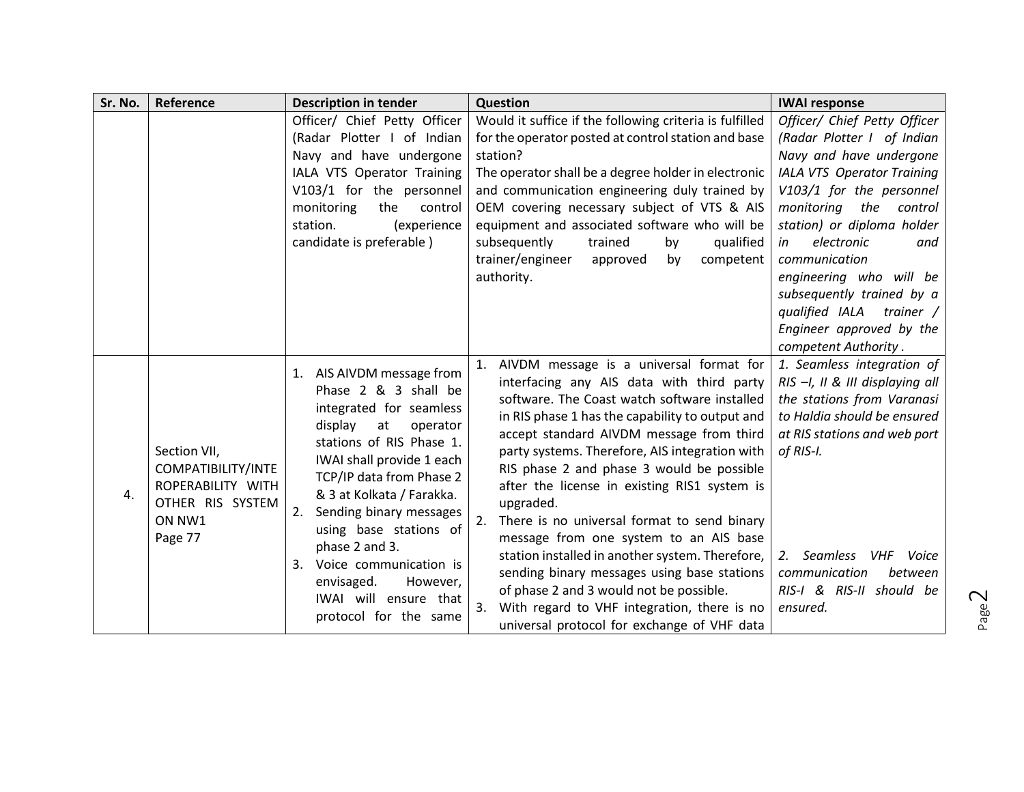| Sr. No. | Reference                                                                                        | <b>Description in tender</b>                                                                                                                                                                                                                                                                                                                                                                                         | Question                                                                                                                                                                                                                                                                                                                                                                                                                                                                                                                                                                                                                                                                                                                                           | <b>IWAI response</b>                                                                                                                                                                                                                                                                                                                                                                                     |
|---------|--------------------------------------------------------------------------------------------------|----------------------------------------------------------------------------------------------------------------------------------------------------------------------------------------------------------------------------------------------------------------------------------------------------------------------------------------------------------------------------------------------------------------------|----------------------------------------------------------------------------------------------------------------------------------------------------------------------------------------------------------------------------------------------------------------------------------------------------------------------------------------------------------------------------------------------------------------------------------------------------------------------------------------------------------------------------------------------------------------------------------------------------------------------------------------------------------------------------------------------------------------------------------------------------|----------------------------------------------------------------------------------------------------------------------------------------------------------------------------------------------------------------------------------------------------------------------------------------------------------------------------------------------------------------------------------------------------------|
|         |                                                                                                  | Officer/ Chief Petty Officer<br>(Radar Plotter I of Indian<br>Navy and have undergone<br>IALA VTS Operator Training<br>V103/1 for the personnel<br>monitoring<br>the<br>control<br>station.<br>(experience<br>candidate is preferable)                                                                                                                                                                               | Would it suffice if the following criteria is fulfilled<br>for the operator posted at control station and base<br>station?<br>The operator shall be a degree holder in electronic<br>and communication engineering duly trained by<br>OEM covering necessary subject of VTS & AIS<br>equipment and associated software who will be<br>subsequently<br>trained<br>qualified<br>by<br>trainer/engineer<br>competent<br>approved<br>by<br>authority.                                                                                                                                                                                                                                                                                                  | Officer/ Chief Petty Officer<br>(Radar Plotter I of Indian<br>Navy and have undergone<br><b>IALA VTS Operator Training</b><br>V103/1 for the personnel<br>monitoring the<br>control<br>station) or diploma holder<br>electronic<br>in<br>and<br>communication<br>engineering who will be<br>subsequently trained by a<br>qualified IALA<br>trainer /<br>Engineer approved by the<br>competent Authority. |
| 4.      | Section VII,<br>COMPATIBILITY/INTE<br>ROPERABILITY WITH<br>OTHER RIS SYSTEM<br>ON NW1<br>Page 77 | 1. AIS AIVDM message from<br>Phase 2 & 3 shall be<br>integrated for seamless<br>display<br>at<br>operator<br>stations of RIS Phase 1.<br>IWAI shall provide 1 each<br>TCP/IP data from Phase 2<br>& 3 at Kolkata / Farakka.<br>2.<br>Sending binary messages<br>using base stations of<br>phase 2 and 3.<br>Voice communication is<br>3.<br>envisaged.<br>However,<br>IWAI will ensure that<br>protocol for the same | 1. AIVDM message is a universal format for<br>interfacing any AIS data with third party<br>software. The Coast watch software installed<br>in RIS phase 1 has the capability to output and<br>accept standard AIVDM message from third<br>party systems. Therefore, AIS integration with<br>RIS phase 2 and phase 3 would be possible<br>after the license in existing RIS1 system is<br>upgraded.<br>There is no universal format to send binary<br>2.<br>message from one system to an AIS base<br>station installed in another system. Therefore,<br>sending binary messages using base stations<br>of phase 2 and 3 would not be possible.<br>With regard to VHF integration, there is no<br>3.<br>universal protocol for exchange of VHF data | 1. Seamless integration of<br>RIS -I, II & III displaying all<br>the stations from Varanasi<br>to Haldia should be ensured<br>at RIS stations and web port<br>of RIS-I.<br>2. Seamless<br>VHF<br>Voice<br>communication<br>between<br>RIS-I & RIS-II should be<br>ensured.                                                                                                                               |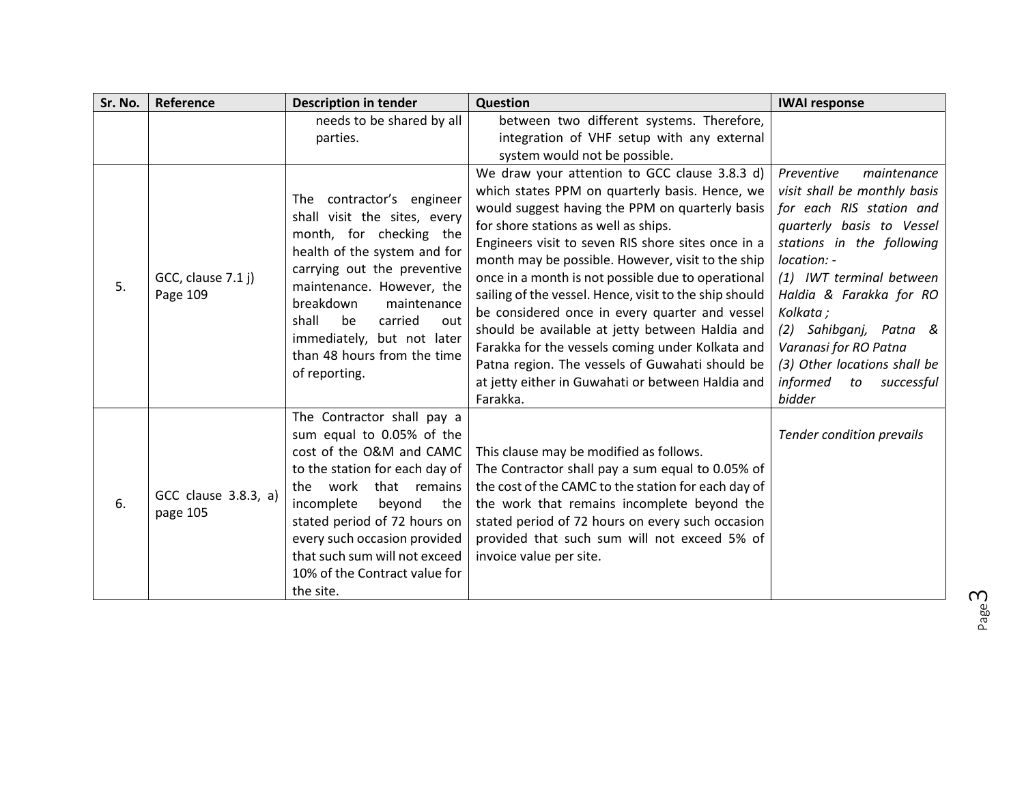| Sr. No. | Reference                        | <b>Description in tender</b>                                                                                                                                                                                                                                                                                                       | Question                                                                                                                                                                                                                                                                                                                                                                                                                                                                                                                                                                                                                                                                                           | <b>IWAI response</b>                                                                                                                                                                                                                                                                                                                                           |
|---------|----------------------------------|------------------------------------------------------------------------------------------------------------------------------------------------------------------------------------------------------------------------------------------------------------------------------------------------------------------------------------|----------------------------------------------------------------------------------------------------------------------------------------------------------------------------------------------------------------------------------------------------------------------------------------------------------------------------------------------------------------------------------------------------------------------------------------------------------------------------------------------------------------------------------------------------------------------------------------------------------------------------------------------------------------------------------------------------|----------------------------------------------------------------------------------------------------------------------------------------------------------------------------------------------------------------------------------------------------------------------------------------------------------------------------------------------------------------|
|         |                                  | needs to be shared by all<br>parties.                                                                                                                                                                                                                                                                                              | between two different systems. Therefore,<br>integration of VHF setup with any external<br>system would not be possible.                                                                                                                                                                                                                                                                                                                                                                                                                                                                                                                                                                           |                                                                                                                                                                                                                                                                                                                                                                |
| 5.      | GCC, clause 7.1 j)<br>Page 109   | The contractor's engineer<br>shall visit the sites, every<br>month, for checking the<br>health of the system and for<br>carrying out the preventive<br>maintenance. However, the<br>breakdown<br>maintenance<br>shall<br>be<br>carried<br>out<br>immediately, but not later<br>than 48 hours from the time<br>of reporting.        | We draw your attention to GCC clause 3.8.3 d)<br>which states PPM on quarterly basis. Hence, we<br>would suggest having the PPM on quarterly basis<br>for shore stations as well as ships.<br>Engineers visit to seven RIS shore sites once in a<br>month may be possible. However, visit to the ship<br>once in a month is not possible due to operational<br>sailing of the vessel. Hence, visit to the ship should<br>be considered once in every quarter and vessel<br>should be available at jetty between Haldia and<br>Farakka for the vessels coming under Kolkata and<br>Patna region. The vessels of Guwahati should be<br>at jetty either in Guwahati or between Haldia and<br>Farakka. | Preventive<br>maintenance<br>visit shall be monthly basis<br>for each RIS station and<br>quarterly basis to Vessel<br>stations in the following<br>location: -<br>(1) IWT terminal between<br>Haldia & Farakka for RO<br>Kolkata;<br>(2) Sahibganj, Patna &<br>Varanasi for RO Patna<br>(3) Other locations shall be<br>informed<br>successful<br>to<br>bidder |
| 6.      | GCC clause 3.8.3, a)<br>page 105 | The Contractor shall pay a<br>sum equal to 0.05% of the<br>cost of the O&M and CAMC<br>to the station for each day of<br>work<br>that remains<br>the<br>incomplete<br>beyond<br>the<br>stated period of 72 hours on<br>every such occasion provided<br>that such sum will not exceed<br>10% of the Contract value for<br>the site. | This clause may be modified as follows.<br>The Contractor shall pay a sum equal to 0.05% of<br>the cost of the CAMC to the station for each day of<br>the work that remains incomplete beyond the<br>stated period of 72 hours on every such occasion<br>provided that such sum will not exceed 5% of<br>invoice value per site.                                                                                                                                                                                                                                                                                                                                                                   | <b>Tender condition prevails</b>                                                                                                                                                                                                                                                                                                                               |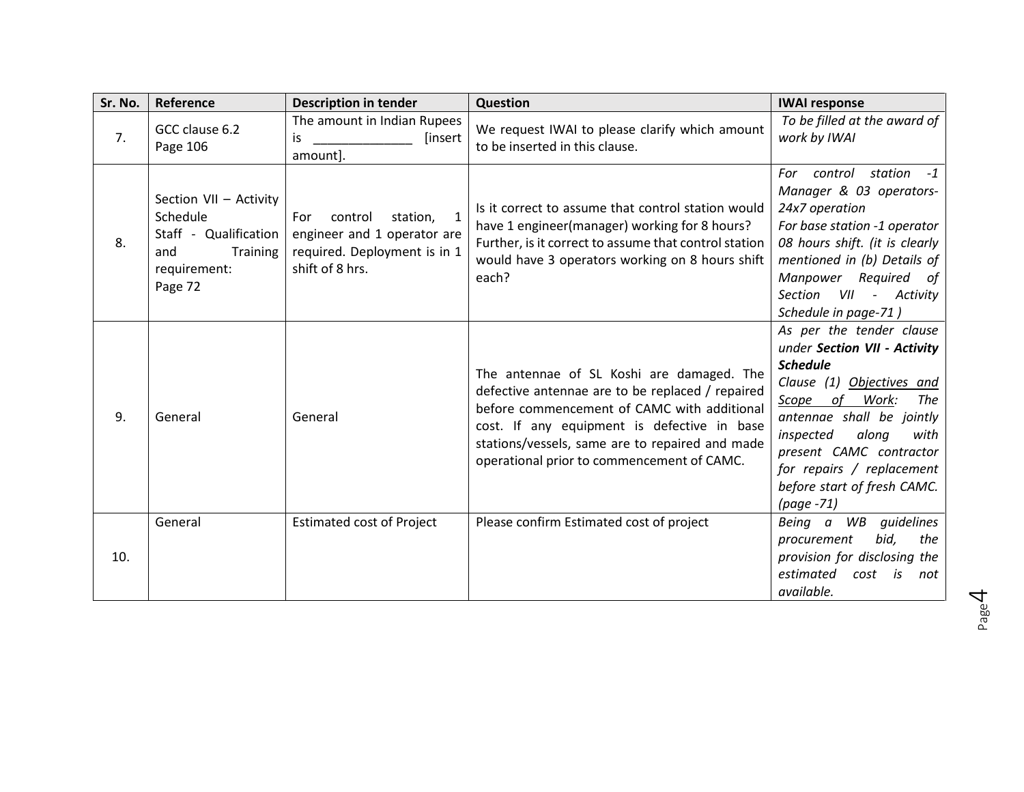| Sr. No. | Reference                                                                                                 | <b>Description in tender</b>                                                                                      | Question                                                                                                                                                                                                                                                                                     | <b>IWAI response</b>                                                                                                                                                                                                                                                                                          |
|---------|-----------------------------------------------------------------------------------------------------------|-------------------------------------------------------------------------------------------------------------------|----------------------------------------------------------------------------------------------------------------------------------------------------------------------------------------------------------------------------------------------------------------------------------------------|---------------------------------------------------------------------------------------------------------------------------------------------------------------------------------------------------------------------------------------------------------------------------------------------------------------|
| 7.      | GCC clause 6.2<br>Page 106                                                                                | The amount in Indian Rupees<br>is<br>[insert]<br>amount].                                                         | We request IWAI to please clarify which amount<br>to be inserted in this clause.                                                                                                                                                                                                             | To be filled at the award of<br>work by IWAI                                                                                                                                                                                                                                                                  |
| 8.      | Section VII - Activity<br>Schedule<br>Staff - Qualification<br>Training<br>and<br>requirement:<br>Page 72 | control<br>For<br>station,<br>1<br>engineer and 1 operator are<br>required. Deployment is in 1<br>shift of 8 hrs. | Is it correct to assume that control station would<br>have 1 engineer(manager) working for 8 hours?<br>Further, is it correct to assume that control station<br>would have 3 operators working on 8 hours shift<br>each?                                                                     | station<br>For control<br>$-1$<br>Manager & 03 operators-<br>24x7 operation<br>For base station -1 operator<br>08 hours shift. (it is clearly<br>mentioned in (b) Details of<br>Manpower Required of<br>VII<br>Section<br>- Activity<br>Schedule in page-71)                                                  |
| 9.      | General                                                                                                   | General                                                                                                           | The antennae of SL Koshi are damaged. The<br>defective antennae are to be replaced / repaired<br>before commencement of CAMC with additional<br>cost. If any equipment is defective in base<br>stations/vessels, same are to repaired and made<br>operational prior to commencement of CAMC. | As per the tender clause<br>under Section VII - Activity<br><b>Schedule</b><br>Clause (1) Objectives and<br>Scope of<br>Work:<br><b>The</b><br>antennae shall be jointly<br>along<br>inspected<br>with<br>present CAMC contractor<br>for repairs / replacement<br>before start of fresh CAMC.<br>$(page -71)$ |
| 10.     | General                                                                                                   | <b>Estimated cost of Project</b>                                                                                  | Please confirm Estimated cost of project                                                                                                                                                                                                                                                     | Being a WB quidelines<br>bid,<br>the<br>procurement<br>provision for disclosing the<br>estimated<br>is<br>cost<br>not<br>available.                                                                                                                                                                           |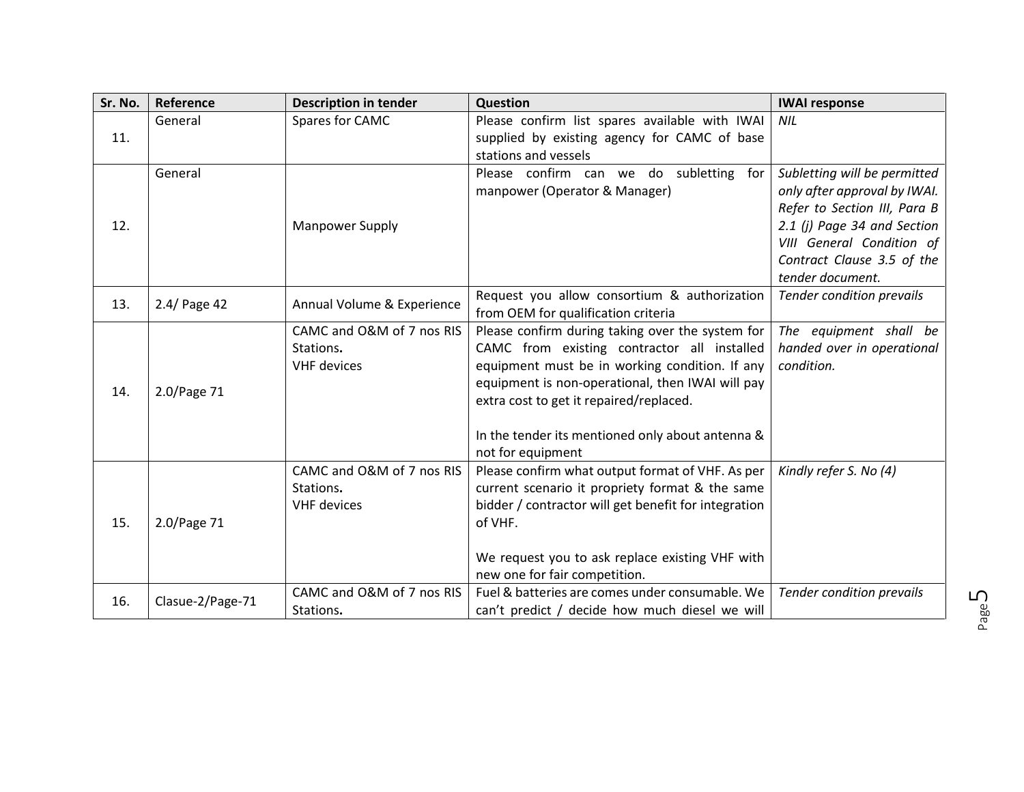| Sr. No. | Reference        | <b>Description in tender</b>                                 | <b>Question</b>                                                                                                                                                                                                                                                                                                           | <b>IWAI response</b>                                                                                                                                                                                       |
|---------|------------------|--------------------------------------------------------------|---------------------------------------------------------------------------------------------------------------------------------------------------------------------------------------------------------------------------------------------------------------------------------------------------------------------------|------------------------------------------------------------------------------------------------------------------------------------------------------------------------------------------------------------|
|         | General          | Spares for CAMC                                              | Please confirm list spares available with IWAI                                                                                                                                                                                                                                                                            | <b>NIL</b>                                                                                                                                                                                                 |
| 11.     |                  |                                                              | supplied by existing agency for CAMC of base<br>stations and vessels                                                                                                                                                                                                                                                      |                                                                                                                                                                                                            |
| 12.     | General          | <b>Manpower Supply</b>                                       | Please confirm can we do subletting for<br>manpower (Operator & Manager)                                                                                                                                                                                                                                                  | Subletting will be permitted<br>only after approval by IWAI.<br>Refer to Section III, Para B<br>2.1 (j) Page 34 and Section<br>VIII General Condition of<br>Contract Clause 3.5 of the<br>tender document. |
| 13.     | 2.4/ Page 42     | Annual Volume & Experience                                   | Request you allow consortium & authorization<br>from OEM for qualification criteria                                                                                                                                                                                                                                       | Tender condition prevails                                                                                                                                                                                  |
| 14.     | 2.0/Page 71      | CAMC and O&M of 7 nos RIS<br>Stations.<br><b>VHF</b> devices | Please confirm during taking over the system for<br>CAMC from existing contractor all installed<br>equipment must be in working condition. If any<br>equipment is non-operational, then IWAI will pay<br>extra cost to get it repaired/replaced.<br>In the tender its mentioned only about antenna &<br>not for equipment | The equipment shall be<br>handed over in operational<br>condition.                                                                                                                                         |
| 15.     | 2.0/Page 71      | CAMC and O&M of 7 nos RIS<br>Stations.<br><b>VHF</b> devices | Please confirm what output format of VHF. As per<br>current scenario it propriety format & the same<br>bidder / contractor will get benefit for integration<br>of VHF.<br>We request you to ask replace existing VHF with<br>new one for fair competition.                                                                | Kindly refer S. No (4)                                                                                                                                                                                     |
| 16.     | Clasue-2/Page-71 | CAMC and O&M of 7 nos RIS<br>Stations.                       | Fuel & batteries are comes under consumable. We<br>can't predict / decide how much diesel we will                                                                                                                                                                                                                         | <b>Tender condition prevails</b>                                                                                                                                                                           |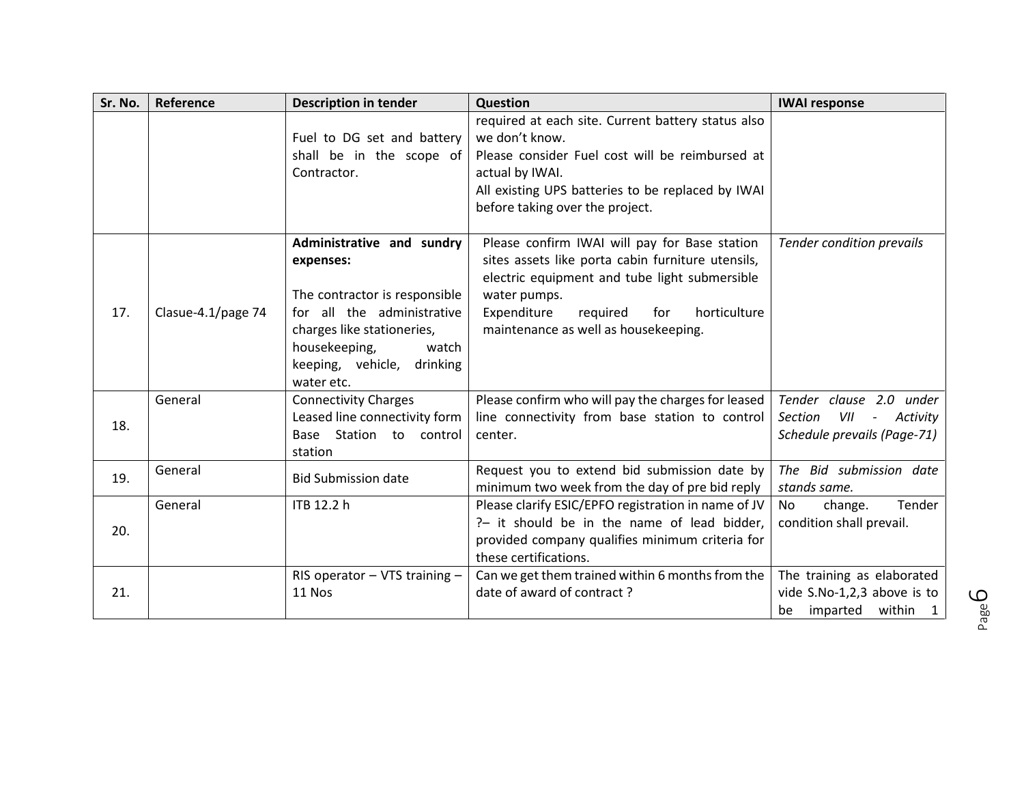| Sr. No. | Reference          | <b>Description in tender</b>                                                                                                                                                                              | Question                                                                                                                                                                                                                                                      | <b>IWAI response</b>                                                                                                    |
|---------|--------------------|-----------------------------------------------------------------------------------------------------------------------------------------------------------------------------------------------------------|---------------------------------------------------------------------------------------------------------------------------------------------------------------------------------------------------------------------------------------------------------------|-------------------------------------------------------------------------------------------------------------------------|
|         |                    | Fuel to DG set and battery<br>shall be in the scope of<br>Contractor.                                                                                                                                     | required at each site. Current battery status also<br>we don't know.<br>Please consider Fuel cost will be reimbursed at<br>actual by IWAI.<br>All existing UPS batteries to be replaced by IWAI<br>before taking over the project.                            |                                                                                                                         |
| 17.     | Clasue-4.1/page 74 | Administrative and sundry<br>expenses:<br>The contractor is responsible<br>for all the administrative<br>charges like stationeries,<br>housekeeping,<br>watch<br>keeping, vehicle, drinking<br>water etc. | Please confirm IWAI will pay for Base station<br>sites assets like porta cabin furniture utensils,<br>electric equipment and tube light submersible<br>water pumps.<br>Expenditure<br>horticulture<br>required<br>for<br>maintenance as well as housekeeping. | <b>Tender condition prevails</b>                                                                                        |
| 18.     | General            | <b>Connectivity Charges</b><br>Leased line connectivity form<br>Base Station to control<br>station                                                                                                        | Please confirm who will pay the charges for leased<br>line connectivity from base station to control<br>center.                                                                                                                                               | Tender clause 2.0 under<br><b>Section</b><br>VII<br>Activity<br>$\overline{\phantom{a}}$<br>Schedule prevails (Page-71) |
| 19.     | General            | <b>Bid Submission date</b>                                                                                                                                                                                | Request you to extend bid submission date by<br>minimum two week from the day of pre bid reply                                                                                                                                                                | The Bid submission date<br>stands same.                                                                                 |
| 20.     | General            | ITB 12.2 h                                                                                                                                                                                                | Please clarify ESIC/EPFO registration in name of JV<br>?- it should be in the name of lead bidder,<br>provided company qualifies minimum criteria for<br>these certifications.                                                                                | change.<br>Tender<br><b>No</b><br>condition shall prevail.                                                              |
| 21.     |                    | RIS operator $-$ VTS training $-$<br>11 Nos                                                                                                                                                               | Can we get them trained within 6 months from the<br>date of award of contract?                                                                                                                                                                                | The training as elaborated<br>vide S.No-1,2,3 above is to<br>imparted<br>within<br>be<br>$\mathbf{1}$                   |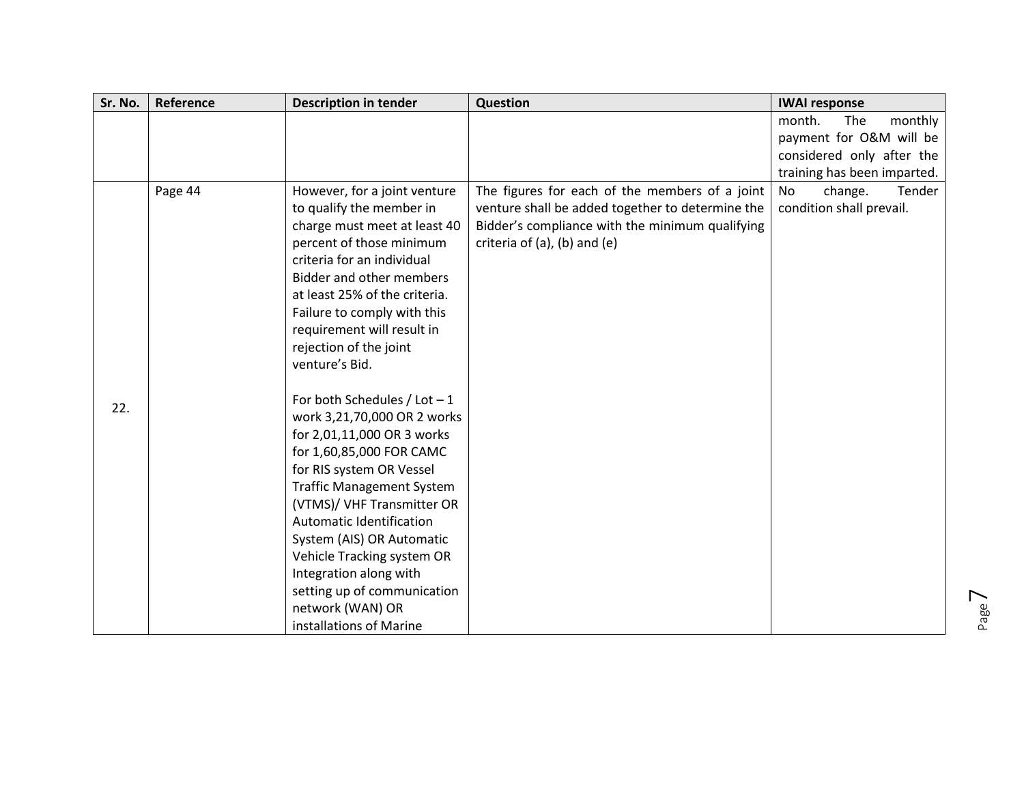| Sr. No. | Reference | <b>Description in tender</b>     | Question                                         | <b>IWAI response</b>        |
|---------|-----------|----------------------------------|--------------------------------------------------|-----------------------------|
|         |           |                                  |                                                  | monthly<br>month.<br>The    |
|         |           |                                  |                                                  | payment for O&M will be     |
|         |           |                                  |                                                  | considered only after the   |
|         |           |                                  |                                                  | training has been imparted. |
|         | Page 44   | However, for a joint venture     | The figures for each of the members of a joint   | No<br>change.<br>Tender     |
|         |           | to qualify the member in         | venture shall be added together to determine the | condition shall prevail.    |
|         |           | charge must meet at least 40     | Bidder's compliance with the minimum qualifying  |                             |
|         |           | percent of those minimum         | criteria of (a), (b) and (e)                     |                             |
|         |           | criteria for an individual       |                                                  |                             |
|         |           | Bidder and other members         |                                                  |                             |
|         |           | at least 25% of the criteria.    |                                                  |                             |
|         |           | Failure to comply with this      |                                                  |                             |
|         |           | requirement will result in       |                                                  |                             |
|         |           | rejection of the joint           |                                                  |                             |
|         |           | venture's Bid.                   |                                                  |                             |
|         |           |                                  |                                                  |                             |
| 22.     |           | For both Schedules / Lot $-1$    |                                                  |                             |
|         |           | work 3,21,70,000 OR 2 works      |                                                  |                             |
|         |           | for 2,01,11,000 OR 3 works       |                                                  |                             |
|         |           | for 1,60,85,000 FOR CAMC         |                                                  |                             |
|         |           | for RIS system OR Vessel         |                                                  |                             |
|         |           | <b>Traffic Management System</b> |                                                  |                             |
|         |           | (VTMS)/ VHF Transmitter OR       |                                                  |                             |
|         |           | Automatic Identification         |                                                  |                             |
|         |           | System (AIS) OR Automatic        |                                                  |                             |
|         |           | Vehicle Tracking system OR       |                                                  |                             |
|         |           | Integration along with           |                                                  |                             |
|         |           | setting up of communication      |                                                  |                             |
|         |           | network (WAN) OR                 |                                                  |                             |
|         |           | installations of Marine          |                                                  |                             |